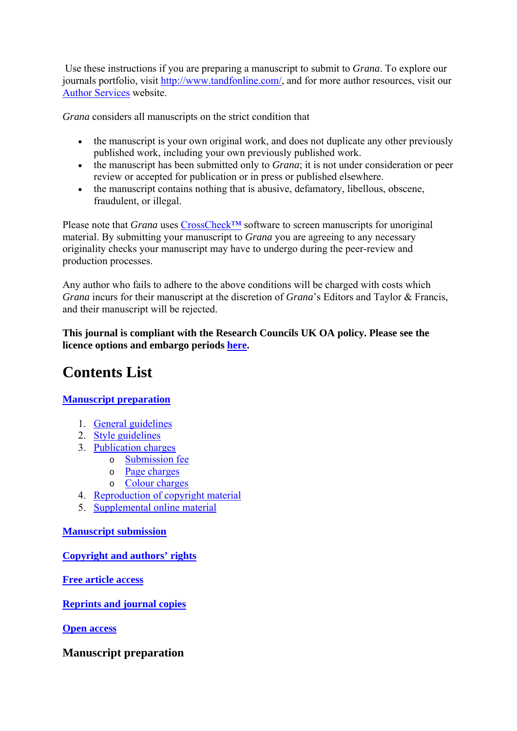Use these instructions if you are preparing a manuscript to submit to *Grana*. To explore our journals portfolio, visit http://www.tandfonline.com/, and for more author resources, visit our Author Services website.

*Grana* considers all manuscripts on the strict condition that

- the manuscript is your own original work, and does not duplicate any other previously published work, including your own previously published work.
- the manuscript has been submitted only to *Grana*; it is not under consideration or peer review or accepted for publication or in press or published elsewhere.
- the manuscript contains nothing that is abusive, defamatory, libellous, obscene, fraudulent, or illegal.

Please note that *Grana* uses CrossCheck™ software to screen manuscripts for unoriginal material. By submitting your manuscript to *Grana* you are agreeing to any necessary originality checks your manuscript may have to undergo during the peer-review and production processes.

Any author who fails to adhere to the above conditions will be charged with costs which *Grana* incurs for their manuscript at the discretion of *Grana*'s Editors and Taylor & Francis, and their manuscript will be rejected.

**This journal is compliant with the Research Councils UK OA policy. Please see the licence options and embargo periods here.**

# **Contents List**

# **Manuscript preparation**

- 1. General guidelines
- 2. Style guidelines
- 3. Publication charges
	- o Submission fee
	- o Page charges
	- o Colour charges
- 4. Reproduction of copyright material
- 5. Supplemental online material

## **Manuscript submission**

**Copyright and authors' rights**

**Free article access**

**Reprints and journal copies**

**Open access**

**Manuscript preparation**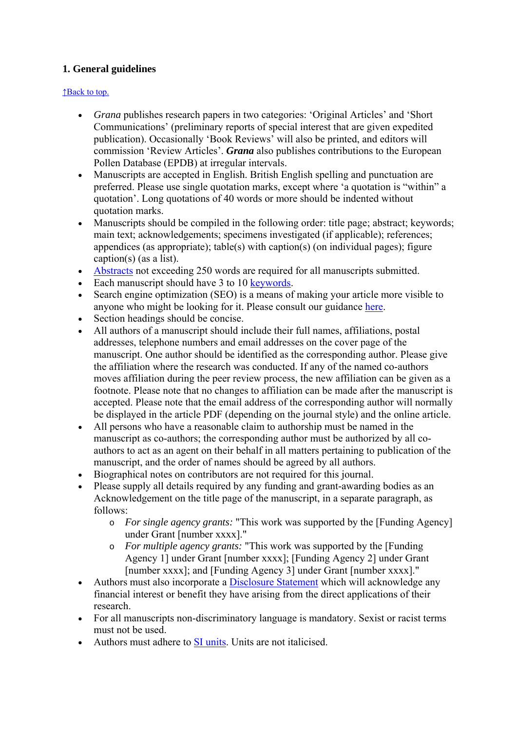# **1. General guidelines**

#### ↑Back to top.

- *Grana* publishes research papers in two categories: 'Original Articles' and 'Short Communications' (preliminary reports of special interest that are given expedited publication). Occasionally 'Book Reviews' will also be printed, and editors will commission 'Review Articles'. *Grana* also publishes contributions to the European Pollen Database (EPDB) at irregular intervals.
- Manuscripts are accepted in English. British English spelling and punctuation are preferred. Please use single quotation marks, except where 'a quotation is "within" a quotation'. Long quotations of 40 words or more should be indented without quotation marks.
- Manuscripts should be compiled in the following order: title page; abstract; keywords; main text; acknowledgements; specimens investigated (if applicable); references; appendices (as appropriate); table(s) with caption(s) (on individual pages); figure caption(s) (as a list).
- Abstracts not exceeding 250 words are required for all manuscripts submitted.
- Each manuscript should have 3 to 10 keywords.
- Search engine optimization (SEO) is a means of making your article more visible to anyone who might be looking for it. Please consult our guidance here.
- Section headings should be concise.
- All authors of a manuscript should include their full names, affiliations, postal addresses, telephone numbers and email addresses on the cover page of the manuscript. One author should be identified as the corresponding author. Please give the affiliation where the research was conducted. If any of the named co-authors moves affiliation during the peer review process, the new affiliation can be given as a footnote. Please note that no changes to affiliation can be made after the manuscript is accepted. Please note that the email address of the corresponding author will normally be displayed in the article PDF (depending on the journal style) and the online article.
- All persons who have a reasonable claim to authorship must be named in the manuscript as co-authors; the corresponding author must be authorized by all coauthors to act as an agent on their behalf in all matters pertaining to publication of the manuscript, and the order of names should be agreed by all authors.
- Biographical notes on contributors are not required for this journal.
- Please supply all details required by any funding and grant-awarding bodies as an Acknowledgement on the title page of the manuscript, in a separate paragraph, as follows:
	- o *For single agency grants:* "This work was supported by the [Funding Agency] under Grant [number xxxx]."
	- o *For multiple agency grants:* "This work was supported by the [Funding Agency 1] under Grant [number xxxx]; [Funding Agency 2] under Grant [number xxxx]; and [Funding Agency 3] under Grant [number xxxx]."
- Authors must also incorporate a Disclosure Statement which will acknowledge any financial interest or benefit they have arising from the direct applications of their research.
- For all manuscripts non-discriminatory language is mandatory. Sexist or racist terms must not be used.
- Authors must adhere to SI units. Units are not italicised.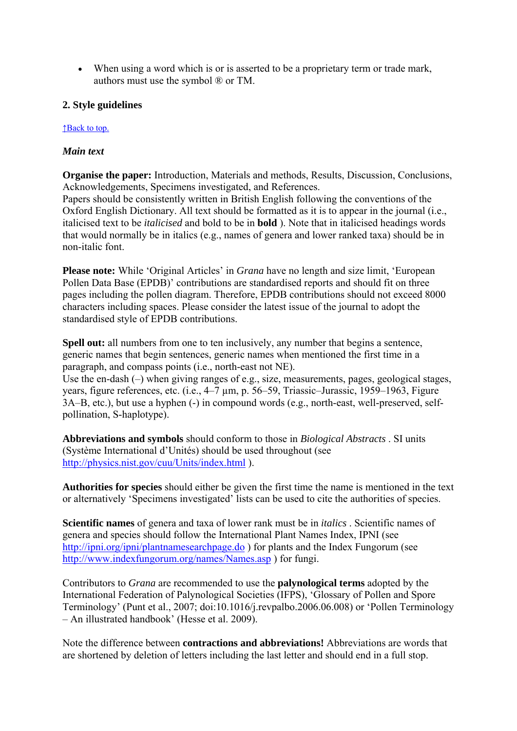When using a word which is or is asserted to be a proprietary term or trade mark, authors must use the symbol ® or TM.

## **2. Style guidelines**

#### ↑Back to top.

## *Main text*

**Organise the paper:** Introduction, Materials and methods, Results, Discussion, Conclusions, Acknowledgements, Specimens investigated, and References.

Papers should be consistently written in British English following the conventions of the Oxford English Dictionary. All text should be formatted as it is to appear in the journal (i.e., italicised text to be *italicised* and bold to be in **bold** ). Note that in italicised headings words that would normally be in italics (e.g., names of genera and lower ranked taxa) should be in non-italic font.

**Please note:** While 'Original Articles' in *Grana* have no length and size limit, 'European Pollen Data Base (EPDB)' contributions are standardised reports and should fit on three pages including the pollen diagram. Therefore, EPDB contributions should not exceed 8000 characters including spaces. Please consider the latest issue of the journal to adopt the standardised style of EPDB contributions.

**Spell out:** all numbers from one to ten inclusively, any number that begins a sentence, generic names that begin sentences, generic names when mentioned the first time in a paragraph, and compass points (i.e., north-east not NE).

Use the en-dash (–) when giving ranges of e.g., size, measurements, pages, geological stages, years, figure references, etc. (i.e., 4–7 µm, p. 56–59, Triassic–Jurassic, 1959–1963, Figure 3A–B, etc.), but use a hyphen (-) in compound words (e.g., north-east, well-preserved, selfpollination, S-haplotype).

**Abbreviations and symbols** should conform to those in *Biological Abstracts* . SI units (Système International d'Unités) should be used throughout (see http://physics.nist.gov/cuu/Units/index.html ).

**Authorities for species** should either be given the first time the name is mentioned in the text or alternatively 'Specimens investigated' lists can be used to cite the authorities of species.

**Scientific names** of genera and taxa of lower rank must be in *italics* . Scientific names of genera and species should follow the International Plant Names Index, IPNI (see http://ipni.org/ipni/plantnamesearchpage.do ) for plants and the Index Fungorum (see http://www.indexfungorum.org/names/Names.asp ) for fungi.

Contributors to *Grana* are recommended to use the **palynological terms** adopted by the International Federation of Palynological Societies (IFPS), 'Glossary of Pollen and Spore Terminology' (Punt et al., 2007; doi:10.1016/j.revpalbo.2006.06.008) or 'Pollen Terminology – An illustrated handbook' (Hesse et al. 2009).

Note the difference between **contractions and abbreviations!** Abbreviations are words that are shortened by deletion of letters including the last letter and should end in a full stop.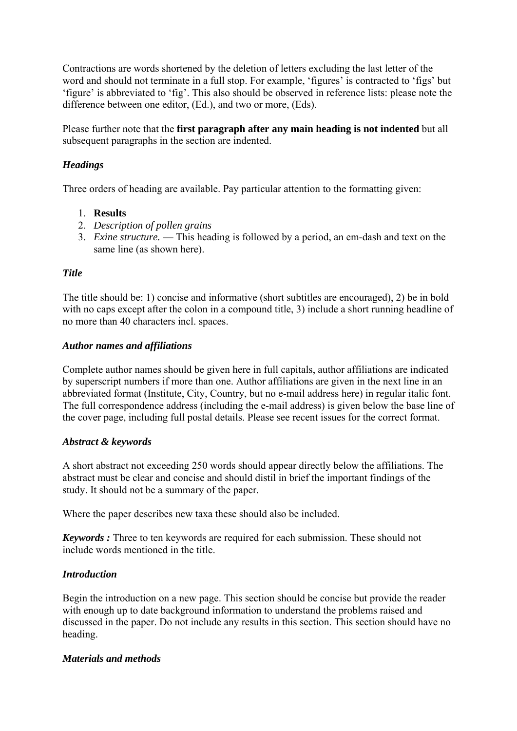Contractions are words shortened by the deletion of letters excluding the last letter of the word and should not terminate in a full stop. For example, 'figures' is contracted to 'figs' but 'figure' is abbreviated to 'fig'. This also should be observed in reference lists: please note the difference between one editor, (Ed.), and two or more, (Eds).

Please further note that the **first paragraph after any main heading is not indented** but all subsequent paragraphs in the section are indented.

## *Headings*

Three orders of heading are available. Pay particular attention to the formatting given:

#### 1. **Results**

- 2. *Description of pollen grains*
- 3. *Exine structure.* This heading is followed by a period, an em-dash and text on the same line (as shown here).

#### *Title*

The title should be: 1) concise and informative (short subtitles are encouraged), 2) be in bold with no caps except after the colon in a compound title, 3) include a short running headline of no more than 40 characters incl. spaces.

#### *Author names and affiliations*

Complete author names should be given here in full capitals, author affiliations are indicated by superscript numbers if more than one. Author affiliations are given in the next line in an abbreviated format (Institute, City, Country, but no e-mail address here) in regular italic font. The full correspondence address (including the e-mail address) is given below the base line of the cover page, including full postal details. Please see recent issues for the correct format.

#### *Abstract & keywords*

A short abstract not exceeding 250 words should appear directly below the affiliations. The abstract must be clear and concise and should distil in brief the important findings of the study. It should not be a summary of the paper.

Where the paper describes new taxa these should also be included.

*Keywords :* Three to ten keywords are required for each submission. These should not include words mentioned in the title.

## *Introduction*

Begin the introduction on a new page. This section should be concise but provide the reader with enough up to date background information to understand the problems raised and discussed in the paper. Do not include any results in this section. This section should have no heading.

#### *Materials and methods*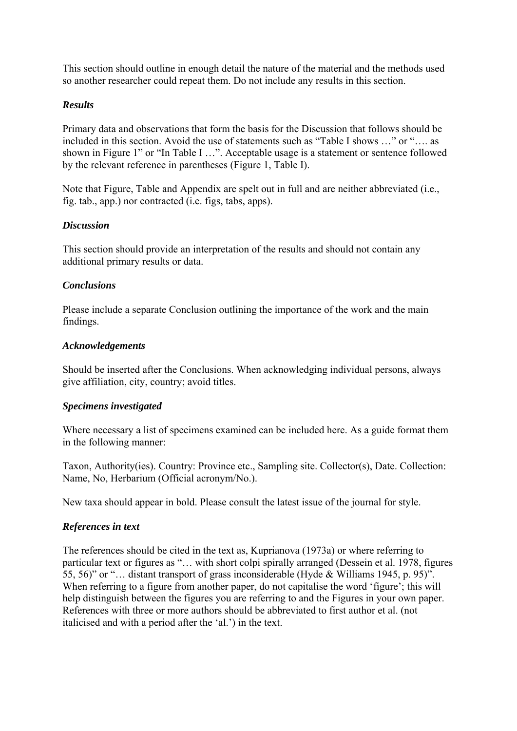This section should outline in enough detail the nature of the material and the methods used so another researcher could repeat them. Do not include any results in this section.

## *Results*

Primary data and observations that form the basis for the Discussion that follows should be included in this section. Avoid the use of statements such as "Table I shows …" or "…. as shown in Figure 1" or "In Table I …". Acceptable usage is a statement or sentence followed by the relevant reference in parentheses (Figure 1, Table I).

Note that Figure, Table and Appendix are spelt out in full and are neither abbreviated (i.e., fig. tab., app.) nor contracted (i.e. figs, tabs, apps).

#### *Discussion*

This section should provide an interpretation of the results and should not contain any additional primary results or data.

#### *Conclusions*

Please include a separate Conclusion outlining the importance of the work and the main findings.

#### *Acknowledgements*

Should be inserted after the Conclusions. When acknowledging individual persons, always give affiliation, city, country; avoid titles.

## *Specimens investigated*

Where necessary a list of specimens examined can be included here. As a guide format them in the following manner:

Taxon, Authority(ies). Country: Province etc., Sampling site. Collector(s), Date. Collection: Name, No, Herbarium (Official acronym/No.).

New taxa should appear in bold. Please consult the latest issue of the journal for style.

## *References in text*

The references should be cited in the text as, Kuprianova (1973a) or where referring to particular text or figures as "… with short colpi spirally arranged (Dessein et al. 1978, figures 55, 56)" or "… distant transport of grass inconsiderable (Hyde & Williams 1945, p. 95)". When referring to a figure from another paper, do not capitalise the word 'figure'; this will help distinguish between the figures you are referring to and the Figures in your own paper. References with three or more authors should be abbreviated to first author et al. (not italicised and with a period after the 'al.') in the text.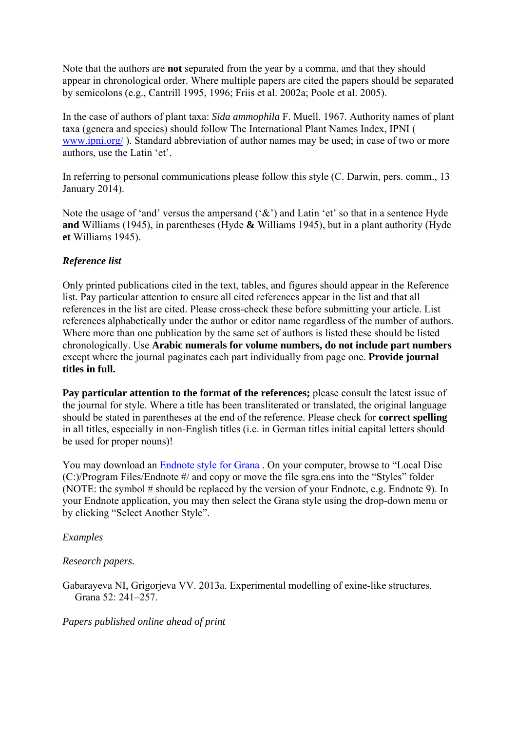Note that the authors are **not** separated from the year by a comma, and that they should appear in chronological order. Where multiple papers are cited the papers should be separated by semicolons (e.g., Cantrill 1995, 1996; Friis et al. 2002a; Poole et al. 2005).

In the case of authors of plant taxa: *Sida ammophila* F. Muell. 1967. Authority names of plant taxa (genera and species) should follow The International Plant Names Index, IPNI ( www.ipni.org/ ). Standard abbreviation of author names may be used; in case of two or more authors, use the Latin 'et'.

In referring to personal communications please follow this style (C. Darwin, pers. comm., 13 January 2014).

Note the usage of 'and' versus the ampersand  $(\mathcal{X})$  and Latin 'et' so that in a sentence Hyde **and** Williams (1945), in parentheses (Hyde **&** Williams 1945), but in a plant authority (Hyde **et** Williams 1945).

## *Reference list*

Only printed publications cited in the text, tables, and figures should appear in the Reference list. Pay particular attention to ensure all cited references appear in the list and that all references in the list are cited. Please cross-check these before submitting your article. List references alphabetically under the author or editor name regardless of the number of authors. Where more than one publication by the same set of authors is listed these should be listed chronologically. Use **Arabic numerals for volume numbers, do not include part numbers** except where the journal paginates each part individually from page one. **Provide journal titles in full.**

**Pay particular attention to the format of the references;** please consult the latest issue of the journal for style. Where a title has been transliterated or translated, the original language should be stated in parentheses at the end of the reference. Please check for **correct spelling** in all titles, especially in non-English titles (i.e. in German titles initial capital letters should be used for proper nouns)!

You may download an Endnote style for Grana . On your computer, browse to "Local Disc (C:)/Program Files/Endnote #/ and copy or move the file sgra.ens into the "Styles" folder (NOTE: the symbol # should be replaced by the version of your Endnote, e.g. Endnote 9). In your Endnote application, you may then select the Grana style using the drop-down menu or by clicking "Select Another Style".

#### *Examples*

*Research papers.* 

Gabarayeva NI, Grigorjeva VV. 2013a. Experimental modelling of exine-like structures. Grana 52: 241–257.

*Papers published online ahead of print*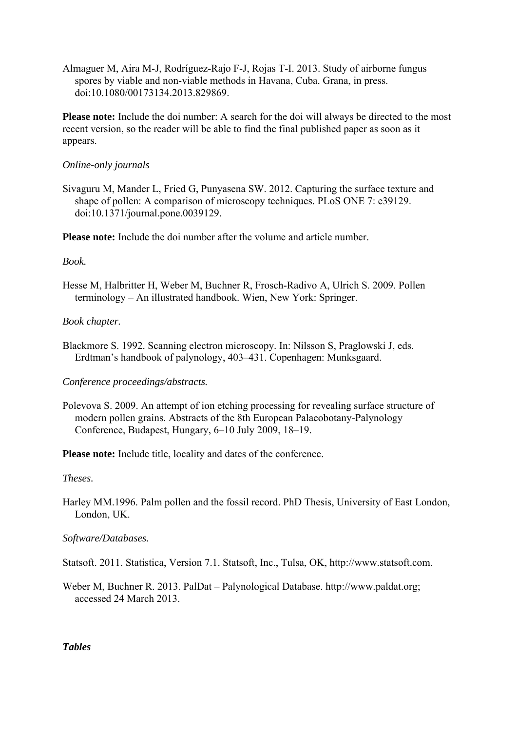Almaguer M, Aira M-J, Rodríguez-Rajo F-J, Rojas T-I. 2013. Study of airborne fungus spores by viable and non-viable methods in Havana, Cuba. Grana, in press. doi:10.1080/00173134.2013.829869.

**Please note:** Include the doi number: A search for the doi will always be directed to the most recent version, so the reader will be able to find the final published paper as soon as it appears.

#### *Online-only journals*

Sivaguru M, Mander L, Fried G, Punyasena SW. 2012. Capturing the surface texture and shape of pollen: A comparison of microscopy techniques. PLoS ONE 7: e39129. doi:10.1371/journal.pone.0039129.

**Please note:** Include the doi number after the volume and article number.

#### *Book.*

Hesse M, Halbritter H, Weber M, Buchner R, Frosch-Radivo A, Ulrich S. 2009. Pollen terminology – An illustrated handbook. Wien, New York: Springer.

## *Book chapter.*

Blackmore S. 1992. Scanning electron microscopy. In: Nilsson S, Praglowski J, eds. Erdtman's handbook of palynology, 403–431. Copenhagen: Munksgaard.

## *Conference proceedings/abstracts.*

Polevova S. 2009. An attempt of ion etching processing for revealing surface structure of modern pollen grains. Abstracts of the 8th European Palaeobotany-Palynology Conference, Budapest, Hungary, 6–10 July 2009, 18–19.

**Please note:** Include title, locality and dates of the conference.

## *Theses.*

Harley MM.1996. Palm pollen and the fossil record. PhD Thesis, University of East London, London, UK.

## *Software/Databases.*

Statsoft. 2011. Statistica, Version 7.1. Statsoft, Inc., Tulsa, OK, http://www.statsoft.com.

Weber M, Buchner R. 2013. PalDat – Palynological Database. http://www.paldat.org; accessed 24 March 2013.

*Tables*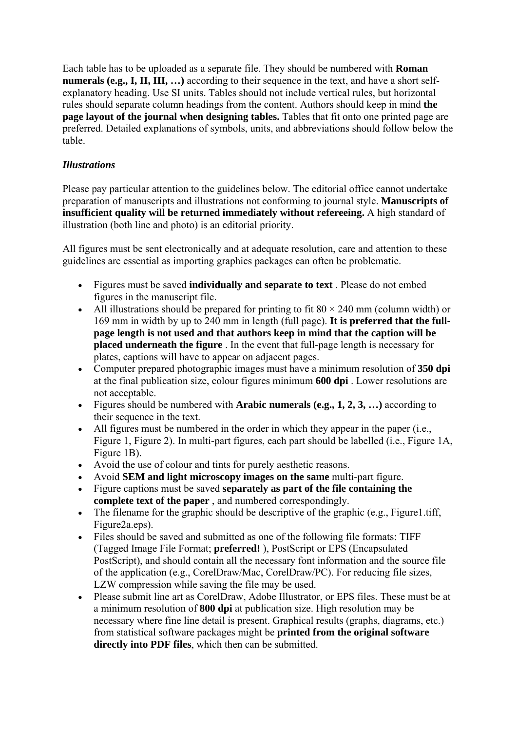Each table has to be uploaded as a separate file. They should be numbered with **Roman numerals (e.g., I, II, III, …)** according to their sequence in the text, and have a short selfexplanatory heading. Use SI units. Tables should not include vertical rules, but horizontal rules should separate column headings from the content. Authors should keep in mind **the page layout of the journal when designing tables.** Tables that fit onto one printed page are preferred. Detailed explanations of symbols, units, and abbreviations should follow below the table.

## *Illustrations*

Please pay particular attention to the guidelines below. The editorial office cannot undertake preparation of manuscripts and illustrations not conforming to journal style. **Manuscripts of insufficient quality will be returned immediately without refereeing.** A high standard of illustration (both line and photo) is an editorial priority.

All figures must be sent electronically and at adequate resolution, care and attention to these guidelines are essential as importing graphics packages can often be problematic.

- Figures must be saved **individually and separate to text** . Please do not embed figures in the manuscript file.
- All illustrations should be prepared for printing to fit  $80 \times 240$  mm (column width) or 169 mm in width by up to 240 mm in length (full page). **It is preferred that the fullpage length is not used and that authors keep in mind that the caption will be placed underneath the figure** . In the event that full-page length is necessary for plates, captions will have to appear on adjacent pages.
- Computer prepared photographic images must have a minimum resolution of **350 dpi** at the final publication size, colour figures minimum **600 dpi** . Lower resolutions are not acceptable.
- Figures should be numbered with **Arabic numerals (e.g., 1, 2, 3, …)** according to their sequence in the text.
- $\bullet$  All figures must be numbered in the order in which they appear in the paper (i.e., Figure 1, Figure 2). In multi-part figures, each part should be labelled (i.e., Figure 1A, Figure 1B).
- Avoid the use of colour and tints for purely aesthetic reasons.
- Avoid **SEM and light microscopy images on the same** multi-part figure.
- Figure captions must be saved **separately as part of the file containing the complete text of the paper** , and numbered correspondingly.
- $\bullet$  The filename for the graphic should be descriptive of the graphic (e.g., Figure 1.tiff, Figure2a.eps).
- Files should be saved and submitted as one of the following file formats: TIFF (Tagged Image File Format; **preferred!** ), PostScript or EPS (Encapsulated PostScript), and should contain all the necessary font information and the source file of the application (e.g., CorelDraw/Mac, CorelDraw/PC). For reducing file sizes, LZW compression while saving the file may be used.
- Please submit line art as CorelDraw, Adobe Illustrator, or EPS files. These must be at a minimum resolution of **800 dpi** at publication size. High resolution may be necessary where fine line detail is present. Graphical results (graphs, diagrams, etc.) from statistical software packages might be **printed from the original software directly into PDF files**, which then can be submitted.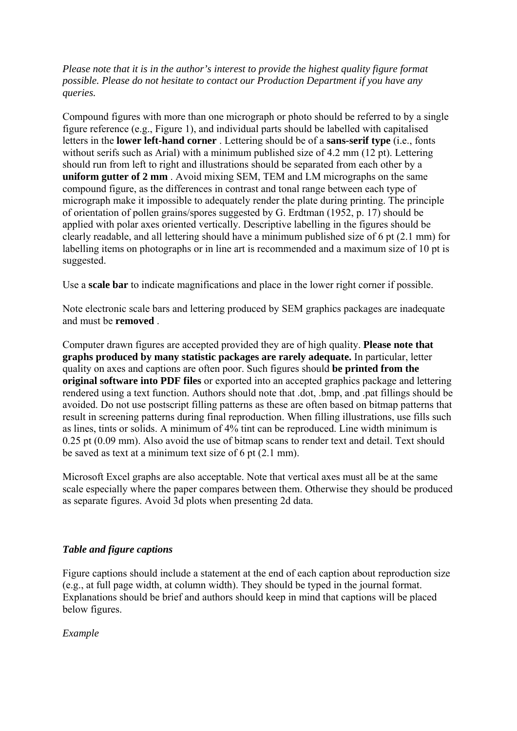*Please note that it is in the author's interest to provide the highest quality figure format possible. Please do not hesitate to contact our Production Department if you have any queries.*

Compound figures with more than one micrograph or photo should be referred to by a single figure reference (e.g., Figure 1), and individual parts should be labelled with capitalised letters in the **lower left-hand corner** . Lettering should be of a **sans-serif type** (i.e., fonts without serifs such as Arial) with a minimum published size of 4.2 mm (12 pt). Lettering should run from left to right and illustrations should be separated from each other by a **uniform gutter of 2 mm** . Avoid mixing SEM, TEM and LM micrographs on the same compound figure, as the differences in contrast and tonal range between each type of micrograph make it impossible to adequately render the plate during printing. The principle of orientation of pollen grains/spores suggested by G. Erdtman (1952, p. 17) should be applied with polar axes oriented vertically. Descriptive labelling in the figures should be clearly readable, and all lettering should have a minimum published size of 6 pt (2.1 mm) for labelling items on photographs or in line art is recommended and a maximum size of 10 pt is suggested.

Use a **scale bar** to indicate magnifications and place in the lower right corner if possible.

Note electronic scale bars and lettering produced by SEM graphics packages are inadequate and must be **removed** .

Computer drawn figures are accepted provided they are of high quality. **Please note that graphs produced by many statistic packages are rarely adequate.** In particular, letter quality on axes and captions are often poor. Such figures should **be printed from the original software into PDF files** or exported into an accepted graphics package and lettering rendered using a text function. Authors should note that .dot, .bmp, and .pat fillings should be avoided. Do not use postscript filling patterns as these are often based on bitmap patterns that result in screening patterns during final reproduction. When filling illustrations, use fills such as lines, tints or solids. A minimum of 4% tint can be reproduced. Line width minimum is 0.25 pt (0.09 mm). Also avoid the use of bitmap scans to render text and detail. Text should be saved as text at a minimum text size of 6 pt (2.1 mm).

Microsoft Excel graphs are also acceptable. Note that vertical axes must all be at the same scale especially where the paper compares between them. Otherwise they should be produced as separate figures. Avoid 3d plots when presenting 2d data.

#### *Table and figure captions*

Figure captions should include a statement at the end of each caption about reproduction size (e.g., at full page width, at column width). They should be typed in the journal format. Explanations should be brief and authors should keep in mind that captions will be placed below figures.

*Example*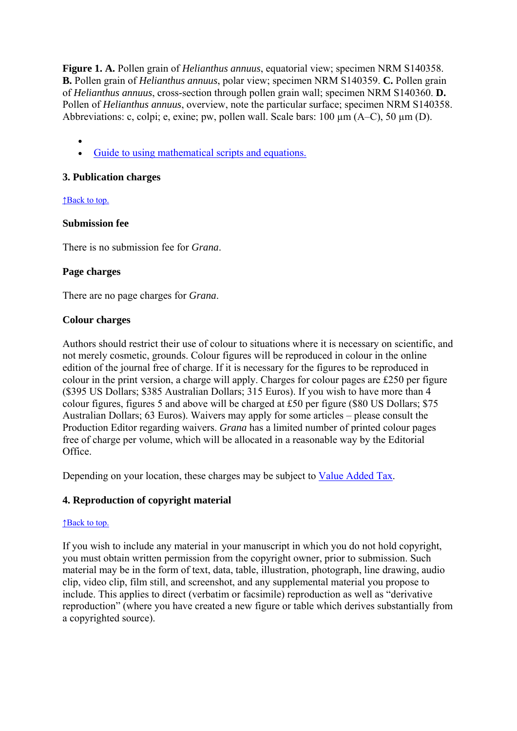**Figure 1. A.** Pollen grain of *Helianthus annuus*, equatorial view; specimen NRM S140358. **B.** Pollen grain of *Helianthus annuus*, polar view; specimen NRM S140359. **C.** Pollen grain of *Helianthus annuus*, cross-section through pollen grain wall; specimen NRM S140360. **D.** Pollen of *Helianthus annuus*, overview, note the particular surface; specimen NRM S140358. Abbreviations: c, colpi; e, exine; pw, pollen wall. Scale bars: 100 µm (A–C), 50 µm (D).

 $\bullet$ Guide to using mathematical scripts and equations.

#### **3. Publication charges**

↑Back to top.

#### **Submission fee**

There is no submission fee for *Grana*.

#### **Page charges**

There are no page charges for *Grana*.

#### **Colour charges**

Authors should restrict their use of colour to situations where it is necessary on scientific, and not merely cosmetic, grounds. Colour figures will be reproduced in colour in the online edition of the journal free of charge. If it is necessary for the figures to be reproduced in colour in the print version, a charge will apply. Charges for colour pages are £250 per figure (\$395 US Dollars; \$385 Australian Dollars; 315 Euros). If you wish to have more than 4 colour figures, figures 5 and above will be charged at £50 per figure (\$80 US Dollars; \$75 Australian Dollars; 63 Euros). Waivers may apply for some articles – please consult the Production Editor regarding waivers. *Grana* has a limited number of printed colour pages free of charge per volume, which will be allocated in a reasonable way by the Editorial Office.

Depending on your location, these charges may be subject to Value Added Tax.

## **4. Reproduction of copyright material**

#### ↑Back to top.

If you wish to include any material in your manuscript in which you do not hold copyright, you must obtain written permission from the copyright owner, prior to submission. Such material may be in the form of text, data, table, illustration, photograph, line drawing, audio clip, video clip, film still, and screenshot, and any supplemental material you propose to include. This applies to direct (verbatim or facsimile) reproduction as well as "derivative reproduction" (where you have created a new figure or table which derives substantially from a copyrighted source).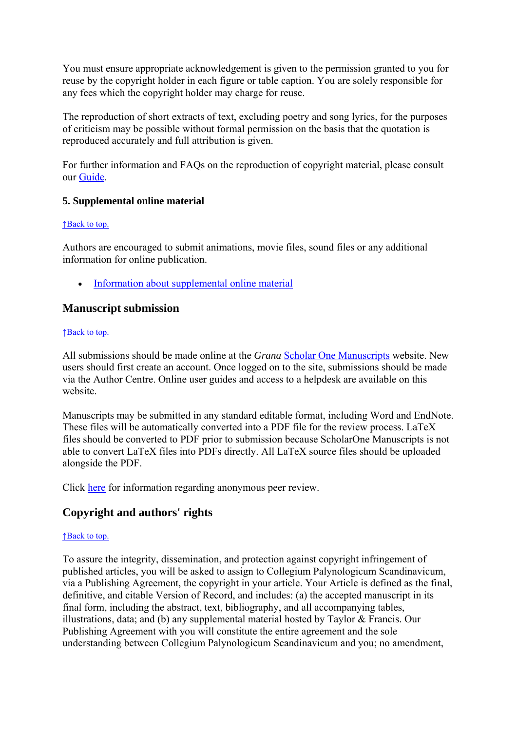You must ensure appropriate acknowledgement is given to the permission granted to you for reuse by the copyright holder in each figure or table caption. You are solely responsible for any fees which the copyright holder may charge for reuse.

The reproduction of short extracts of text, excluding poetry and song lyrics, for the purposes of criticism may be possible without formal permission on the basis that the quotation is reproduced accurately and full attribution is given.

For further information and FAQs on the reproduction of copyright material, please consult our Guide.

## **5. Supplemental online material**

#### ↑Back to top.

Authors are encouraged to submit animations, movie files, sound files or any additional information for online publication.

• Information about supplemental online material

## **Manuscript submission**

#### ↑Back to top.

All submissions should be made online at the *Grana* Scholar One Manuscripts website. New users should first create an account. Once logged on to the site, submissions should be made via the Author Centre. Online user guides and access to a helpdesk are available on this website.

Manuscripts may be submitted in any standard editable format, including Word and EndNote. These files will be automatically converted into a PDF file for the review process. LaTeX files should be converted to PDF prior to submission because ScholarOne Manuscripts is not able to convert LaTeX files into PDFs directly. All LaTeX source files should be uploaded alongside the PDF.

Click here for information regarding anonymous peer review.

# **Copyright and authors' rights**

#### ↑Back to top.

To assure the integrity, dissemination, and protection against copyright infringement of published articles, you will be asked to assign to Collegium Palynologicum Scandinavicum, via a Publishing Agreement, the copyright in your article. Your Article is defined as the final, definitive, and citable Version of Record, and includes: (a) the accepted manuscript in its final form, including the abstract, text, bibliography, and all accompanying tables, illustrations, data; and (b) any supplemental material hosted by Taylor & Francis. Our Publishing Agreement with you will constitute the entire agreement and the sole understanding between Collegium Palynologicum Scandinavicum and you; no amendment,